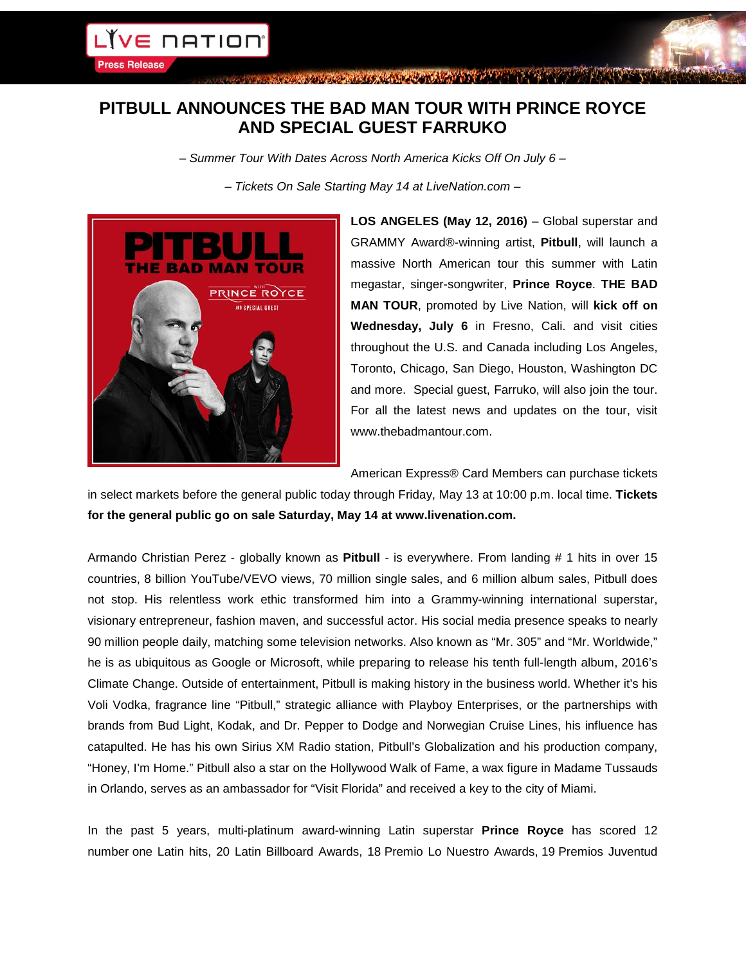**Press Release** 

CONTRACTOR MARIA AND PIPE IN A PIPE

## **PITBULL ANNOUNCES THE BAD MAN TOUR WITH PRINCE ROYCE AND SPECIAL GUEST FARRUKO**

*– Summer Tour With Dates Across North America Kicks Off On July 6 –*

*– Tickets On Sale Starting May 14 at LiveNation.com –*



**LOS ANGELES (May 12, 2016)** – Global superstar and GRAMMY Award®-winning artist, **Pitbull**, will launch a massive North American tour this summer with Latin megastar, singer-songwriter, **Prince Royce**. **THE BAD MAN TOUR**, promoted by Live Nation, will **kick off on Wednesday, July 6** in Fresno, Cali. and visit cities throughout the U.S. and Canada including Los Angeles, Toronto, Chicago, San Diego, Houston, Washington DC and more. Special guest, Farruko, will also join the tour. For all the latest news and updates on the tour, visit www.thebadmantour.com.

American Express® Card Members can purchase tickets

in select markets before the general public today through Friday, May 13 at 10:00 p.m. local time. **Tickets for the general public go on sale Saturday, May 14 at www.livenation.com.**

Armando Christian Perez - globally known as **Pitbull** - is everywhere. From landing # 1 hits in over 15 countries, 8 billion YouTube/VEVO views, 70 million single sales, and 6 million album sales, Pitbull does not stop. His relentless work ethic transformed him into a Grammy-winning international superstar, visionary entrepreneur, fashion maven, and successful actor. His social media presence speaks to nearly 90 million people daily, matching some television networks. Also known as "Mr. 305" and "Mr. Worldwide," he is as ubiquitous as Google or Microsoft, while preparing to release his tenth full-length album, 2016's Climate Change. Outside of entertainment, Pitbull is making history in the business world. Whether it's his Voli Vodka, fragrance line "Pitbull," strategic alliance with Playboy Enterprises, or the partnerships with brands from Bud Light, Kodak, and Dr. Pepper to Dodge and Norwegian Cruise Lines, his influence has catapulted. He has his own Sirius XM Radio station, Pitbull's Globalization and his production company, "Honey, I'm Home." Pitbull also a star on the Hollywood Walk of Fame, a wax figure in Madame Tussauds in Orlando, serves as an ambassador for "Visit Florida" and received a key to the city of Miami.

In the past 5 years, multi-platinum award-winning Latin superstar **Prince Royce** has scored 12 number one Latin hits, 20 Latin Billboard Awards, 18 Premio Lo Nuestro Awards, 19 Premios Juventud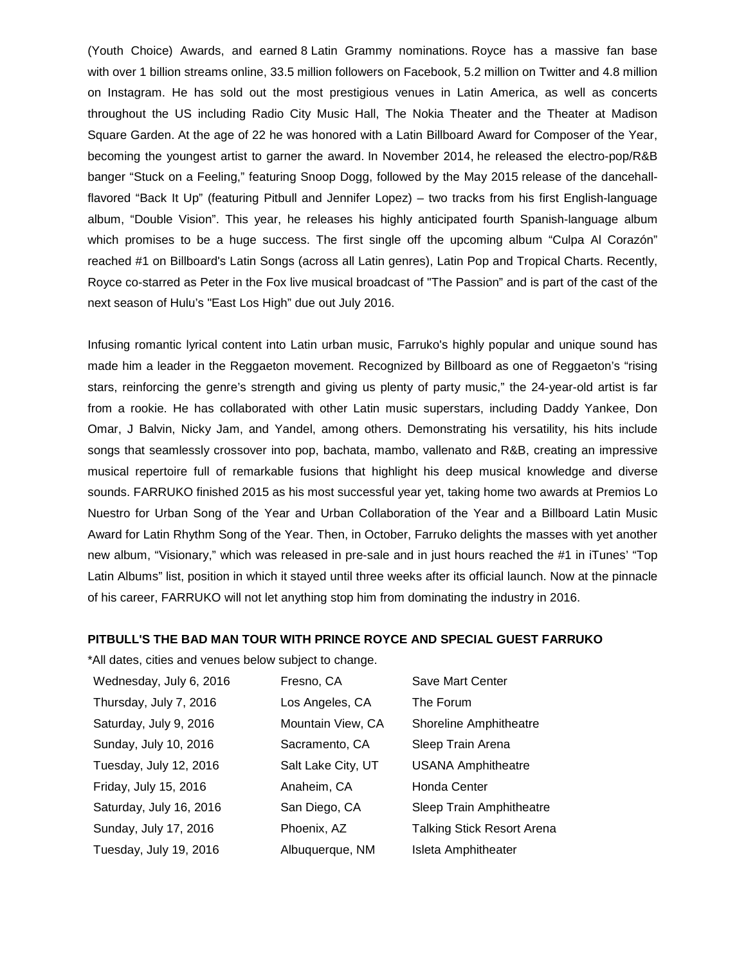(Youth Choice) Awards, and earned 8 Latin Grammy nominations. Royce has a massive fan base with over 1 billion streams online, 33.5 million followers on Facebook, 5.2 million on Twitter and 4.8 million on Instagram. He has sold out the most prestigious venues in Latin America, as well as concerts throughout the US including Radio City Music Hall, The Nokia Theater and the Theater at Madison Square Garden. At the age of 22 he was honored with a Latin Billboard Award for Composer of the Year, becoming the youngest artist to garner the award. In November 2014, he released the electro-pop/R&B banger "Stuck on a Feeling," featuring Snoop Dogg, followed by the May 2015 release of the dancehallflavored "Back It Up" (featuring Pitbull and Jennifer Lopez) – two tracks from his first English-language album, "Double Vision". This year, he releases his highly anticipated fourth Spanish-language album which promises to be a huge success. The first single off the upcoming album "Culpa Al Corazón" reached #1 on Billboard's Latin Songs (across all Latin genres), Latin Pop and Tropical Charts. Recently, Royce co-starred as Peter in the Fox live musical broadcast of "The Passion" and is part of the cast of the next season of Hulu's "East Los High" due out July 2016.

Infusing romantic lyrical content into Latin urban music, Farruko's highly popular and unique sound has made him a leader in the Reggaeton movement. Recognized by Billboard as one of Reggaeton's "rising stars, reinforcing the genre's strength and giving us plenty of party music," the 24-year-old artist is far from a rookie. He has collaborated with other Latin music superstars, including Daddy Yankee, Don Omar, J Balvin, Nicky Jam, and Yandel, among others. Demonstrating his versatility, his hits include songs that seamlessly crossover into pop, bachata, mambo, vallenato and R&B, creating an impressive musical repertoire full of remarkable fusions that highlight his deep musical knowledge and diverse sounds. FARRUKO finished 2015 as his most successful year yet, taking home two awards at Premios Lo Nuestro for Urban Song of the Year and Urban Collaboration of the Year and a Billboard Latin Music Award for Latin Rhythm Song of the Year. Then, in October, Farruko delights the masses with yet another new album, "Visionary," which was released in pre-sale and in just hours reached the #1 in iTunes' "Top Latin Albums" list, position in which it stayed until three weeks after its official launch. Now at the pinnacle of his career, FARRUKO will not let anything stop him from dominating the industry in 2016.

## **PITBULL'S THE BAD MAN TOUR WITH PRINCE ROYCE AND SPECIAL GUEST FARRUKO**

\*All dates, cities and venues below subject to change.

| Wednesday, July 6, 2016 | Fresno, CA         | Save Mart Center                  |
|-------------------------|--------------------|-----------------------------------|
| Thursday, July 7, 2016  | Los Angeles, CA    | The Forum                         |
| Saturday, July 9, 2016  | Mountain View, CA  | Shoreline Amphitheatre            |
| Sunday, July 10, 2016   | Sacramento, CA     | Sleep Train Arena                 |
| Tuesday, July 12, 2016  | Salt Lake City, UT | <b>USANA Amphitheatre</b>         |
| Friday, July 15, 2016   | Anaheim, CA        | Honda Center                      |
| Saturday, July 16, 2016 | San Diego, CA      | Sleep Train Amphitheatre          |
| Sunday, July 17, 2016   | Phoenix, AZ        | <b>Talking Stick Resort Arena</b> |
| Tuesday, July 19, 2016  | Albuquerque, NM    | Isleta Amphitheater               |